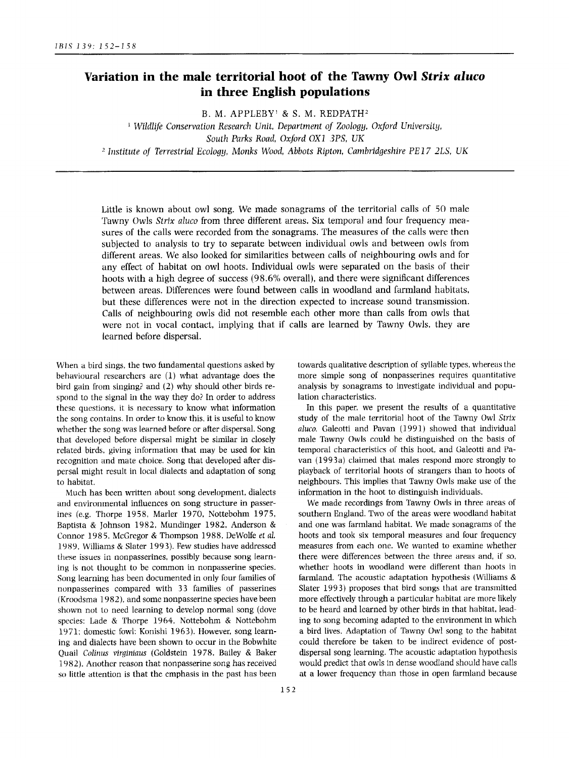# **Variation in the male territorial hoot of the Tawny Owl Strix** *aluco*  **in three English populations**

B. M. APPLEBY<sup>1</sup> & S. M. REDPATH<sup>2</sup>

<sup>1</sup> Wildlife Conservation Research Unit, Department of Zoology, Oxford University, South Parks Road, Oxford *OX1 3PS, UK*  lnstitute of' Terrestrial Ecology, Monks Wood, Abbots Ripton, Cambridgeshire *PEI* 7 *2LS, UK* 

Little is known about owl song. We made sonagrams of the territorial calls of 50 male Tawny Owls Strix *aluco* from three different areas. **Six** temporal and four frequency measures of the calls were recorded from the sonagrams. The measures of the calls were then subjected to analysis to try to separate between individual owls and between owls from different areas. We also looked for similarities between calls of neighbouring owls and for any effect of habitat on owl hoots. Individual owls were separated on the basis of their hoots with a high degree of success (98.6% overall), and there were significant differences between areas. Differences were found between calls in woodland and farmland habitats, but these differences were not in the direction expected to increase sound transmission. Calls of neighbouring owls did not resemble each other more than calls from owls that were not in vocal contact, implying that if calls are learned by Tawny Owls, they are learned before dispersal.

When a bird sings. the two fundamental questions asked by behavioural researchers are (1) what advantage does the bird gain from singing? and (2) why should other birds respond to the signal in the way they do? In order to address these questions, it is necessary to know what information the song contains. In order to know this, it is useful to know whether the song was learned before or after dispersal. Song that developed before dispersal might be similar in closely related birds, giving information that may be used for kin recognition and mate choice. Song that developed after dispersal might result in local dialects and adaptation of song to habitat.

Much has been written about song development. dialects and environmental influences on song structure in passerines (e.g. Thorpe 1958, Marler 1970, Nottebohm 1975, Baptista & Johnson 1982, Mundinger 1982, Anderson & Connor 1985. McGregor & Thompson 1988, DeWolfe *et* al. 1989, Williams & Slater 1993). Few studies have addressed these issues in nonpasserines, possibly because song learning is not thought to be common in nonpasserine species. Song learning has been documented in only four families of nonpasserines compared with 33 families of passerines (Kroodsma 1982), and some nonpasserine species have been shown not to need learning to develop normal song (dove species: Lade & Thorpe 1964, Nottebohm & Nottebohm 1971: domestic fowl: Konishi 1963). However, song learning and dialects have been shown to occur in the Bobwhite Quail Colinus virginiaus (Goldstein 1978. Bailey & Baker 1982). Another reason that nonpasserine song has received so little attention is that the emphasis in the past has been towards qualitative description of syllable types, whereas the more simple song of nonpasserines requires quantitative analysis by sonagrams to investigate individual and population characteristics.

In this paper, we present the results of a quantitative study of the male territorial hoot of the Tawny Owl *Strix*  aluco. Galeotti and Pavan (1991) showed that individual male Tawny Owls could be distinguished on the basis of temporal characteristics of this hoot, and Galeotti and Pavan (1993a) claimed that males respond more strongly to playback of territorial hoots **of** strangers than to hoots of neighbours. This implies that Tawny Owls make use of the information in the hoot to distinguish individuals.

We made recordings from Tawny Owls in three areas of southern England. Two of the areas were woodland habitat and one was farmland habitat. We made sonagrams of the hoots and took six temporal measures and four frequency measures from each one. We wanted to examine whether there were differences between the three areas and, if so, whether hoots in woodland were different than hoots in farmland. The acoustic adaptation hypothesis (Williams & Slater 1993) proposes that bird songs that are transmitted more effectively through a particular habitat are more likely to be heard and learned by other birds in that habitat, leading to song becoming adapted to the environment in which a bird lives. Adaptation of Tawny Owl song to the habitat could therefore be taken to be indirect evidence of postdispersal song learning. The acoustic adaptation hypothesis would predict that owls in dense woodland should have calls at a lower frequency than those in open farmland because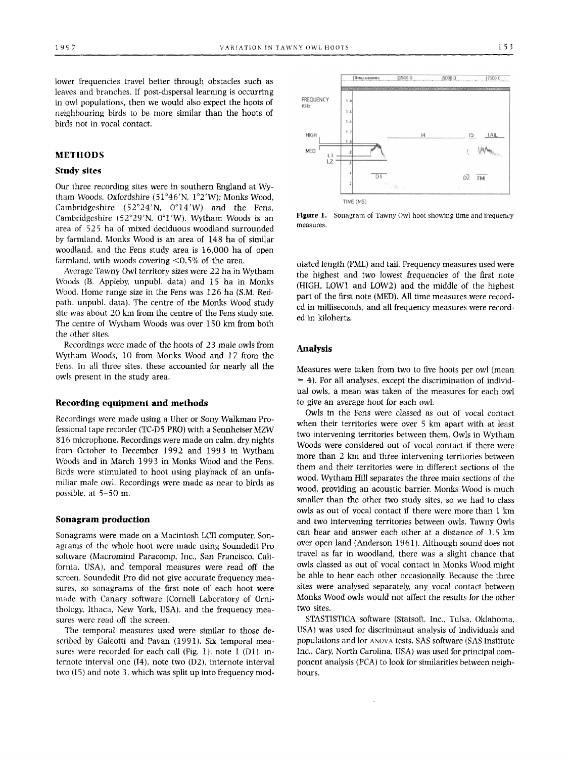lower frequencies travel better through obstacles such as leaves and branches. If post-dispersal learning is occurring in owl populations, then we would also expect the hoots of neighbouring birds to be more similar than the hoots of birds not in vocal contact.

#### **METHODS**

#### **Studv sites**

Our three recording sites were in southern England at Wytham Woods. Oxfordshire  $(51°46'N, 1°2'W)$ ; Monks Wood, Cambridgeshire  $(52^{\circ}24'N, 0^{\circ}14'W)$  and the Fens, Cambridgeshire (52°29'N, 0°1'W). Wytham Woods is an area of 525 ha of mixed deciduous woodland surrounded by farmland. Monks Wood is an area of 148 ha of similar woodland, and the Fens study area is 16,000 ha of open farmland, with woods covering  $\leq 0.5\%$  of the area.

Average Tawny Owl territory sizes were *22* ha in Wytham Woods (B. Appleby, unpubl. data) and 15 ha in Monks Wood. Home range size in the Fens was 126 ha (S.M. Redpath. unpubl. data). The centre of the Monks Wood study site was about 20 km from the centre of the Fens study site. The centre of Wytham Woods was over 150 km from both the other sites.

Recordings were made of the hoots of 23 male owls from Wytham Woods, 10 from Monks Wood and 17 from the Fens. In all three sites, these accounted for nearly all the owls present in the study area.

#### **Recording equipment and methods**

Recordings were made using a Uher or Sony Walkman Professional tape recorder (TC-D5 PRO) with a Sennheiser MZW 8 16 microphone. Recordings were made on calm, dry nights from October to December 1992 and 1993 in Wytham Woods and in March 1993 in Monks Wood and the Fens. Birds were stimulated to hoot using playback of an unfamiliar male owl. Recordings were made as near to birds as possible, at 5-50 m.

#### **Sonagram production**

Sonagrams were made on a Macintosh LCII computer. Sonagrams of the whole hoot were made using Soundedit Pro software (Macromind Paracomp, Inc., San Francisco, California. USA), and temporal measures were read off the screen. Soundedit Pro did not give accurate frequency measures, so sonagrams of the first note of each hoot were made with Canary software (Cornell Laboratory of Ornithology, Ithaca. New York, USA), and the frequency measures were read off the screen.

The temporal measures used were similar to those described by Galeotti and Pavan (1991). Six temporal measures were recorded for each call (Fig. 1): note  $1$  (D1), internote interval one (I4), note two (D2). internote interval two (15) and note 3, which was split up into frequency mod-



Figure 1. Sonagram of Tawny Owl hoot showing time and frequency measures.

ulated length (FML) and tail. Frequency measures used were the highest and two lowest frequencies of the first note (HIGH, LOW1 and LOWZ) and the middle of the highest part of the first note (MED). All time measures were recorded in milliseconds, and all frequency measures were recorded in kilohertz.

#### **Analysis**

Measures were taken from two to five hoots per owl (mean  $= 4$ ). For all analyses, except the discrimination of individual owls, a mean was taken of the measures for each owl to give an average hoot for each owl.

Owls in the Fens were classed as out of vocal contact when their territories were over *5* km apart with at least two intervening territories between them. Owls in Wytham Woods were considered out of vocal contact if there were more than 2 km and three intervening territories between them and their territories were in different sections of the wood. Wytham Hill separates the three main sections of the wood, providing an acoustic barrier. Monks Wood is much smaller than the other two study sites, so we had to class owls as out of vocal contact if there were more than 1 km and two intervening territories between owls. Tawny Owls can hear and answer each other at a distance of 1.5 km over open land (Anderson 1961). Although sound does not travel as far in woodland, there was a slight chance that owls classed as out of vocal contact in Monks Wood might be able to hear each other occasionally. Because the three sites were analysed separately, any vocal contact between Monks Wood owls would not affect the results for the other two sites.

STASTISTICA software (Statsoft, Inc., Tulsa, Oklahoma, USA) was used for discriminant analysis of individuals and populations and for ANOVA tests. **SAS** software (SAS Institute Inc., Cary, North Carolina, USA) was used for principal component analysis (PCA) to look for similarities between neighbours.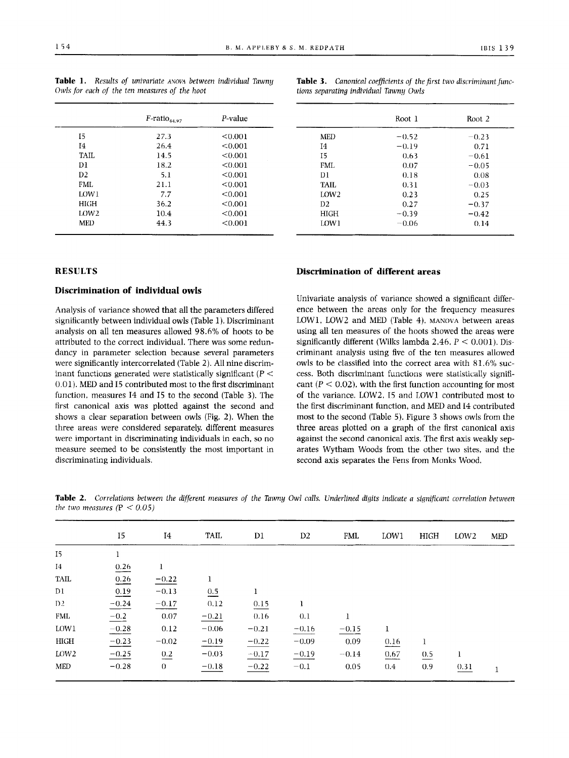|                  | $F\text{-ratio}_{44.97}$ | P-value |
|------------------|--------------------------|---------|
| 15               | 27.3                     | < 0.001 |
| I4               | 26.4                     | < 0.001 |
| TAIL             | 14.5                     | < 0.001 |
| D1               | 18.2                     | < 0.001 |
| D <sub>2</sub>   | 5.1                      | < 0.001 |
| FML.             | 21.1                     | < 0.001 |
| LOW 1            | 7.7                      | < 0.001 |
| <b>HIGH</b>      | 36.2                     | < 0.001 |
| LOW <sub>2</sub> | 10.4                     | < 0.001 |
| <b>MED</b>       | 44.3                     | < 0.001 |

**Table 1.**  *Results of univariate* **ANOVA** *between individual Tawny Owls for pach of the ten measures of the hoot* 

**Table 3.**  *Canonical coefficients of the* **first** *two discriminant functions separating individual Tawny Owls* 

#### Root 1 Root 2 MED I4 I5 FML D1 TAIL LOW2 D<sub>2</sub> HIGH LOW<sub>1</sub>  $-0.52$  $-0.19$ 0.63 *0.07*  0.18 0.31 0.23 0.27  $-0.39$  $-0.06$  $-0.23$ 0.71 -0.61  $-0.05$ 0.08  $-0.03$ 0.25  $-0.37$  $-0.42$ 0.14

## Analysis of variance showed that all the parameters differed significantly between individual owls (Table 1). Discriminant analysis on all ten measures allowed 98.6% of hoots to be attributed to the correct individual. There was some redundancy in parameter selection because several parameters were significantly intercorrelated (Table 2). All nine discriminant functions generated were statistically significant ( $P <$ 0.01). MED and I5 contributed most to the first discriminant function, measures I4 and I5 to the second (Table **3).** The first canonical axis was plotted against the second and shows a clear separation between owls (Fig. *2).* When the three areas were considered separately, different measures were important in discriminating individuals in each, so no measure seemed to be consistently the most important in discriminating individuals.

**Discrimination of individual owls** 

#### **RESULTS Discrimination of different areas**

Univariate analysis of variance showed a significant difference between the areas only for the frequency measures LOW1, LOW2 and MED (Table 4). MANOVA between areas using all ten measures of the hoots showed the areas were significantly different (Wilks lambda 2.46, *P* < 0.001). Discriminant analysis using five of the ten measures allowed owls to be classified into the correct area with 81.6% success. Both discriminant functions were statistically significant  $(P < 0.02)$ , with the first function accounting for most of the variance. LOW2, I5 and LOWl contributed most to the first discriminant function, and MED and I4 contributed most to the second (Table 5). Figure *3* shows owls from the three areas plotted on a graph of the first canonical axis against the second canonical axis. The first axis weakly separates Wytham Woods from the other two sites, and the second axis separates the Fens from Monks Wood.

**Table** *2. Correlations between the different measures of the Tawny Owl calls. Underlined digits indicate a significant correlation between the two measures*  $(P < 0.05)$ 

|                  | 15                   | 14      | TAIL    | D1      | D <sub>2</sub> | FML          | LOW1 | <b>HIGH</b> | LOW <sub>2</sub> | <b>MED</b> |
|------------------|----------------------|---------|---------|---------|----------------|--------------|------|-------------|------------------|------------|
| I <sub>5</sub>   | ı                    |         |         |         |                |              |      |             |                  |            |
| I4               | 0.26                 | 1       |         |         |                |              |      |             |                  |            |
| TAIL             | 0.26                 | $-0.22$ | 1       |         |                |              |      |             |                  |            |
| D1               | 0.19                 | $-0.13$ | 0.5     | 1       |                |              |      |             |                  |            |
| D <sub>2</sub>   | $-0.24$              | $-0.17$ | 0.12    | 0.15    | 1              |              |      |             |                  |            |
| <b>FML</b>       |                      | 0.07    | $-0.21$ | 0.16    | 0.1            | $\mathbf{1}$ |      |             |                  |            |
| LOW1             | $\frac{-0.2}{-0.28}$ | 0.12    | $-0.06$ | $-0.21$ | $-0.16$        | $-0.15$      | 1    |             |                  |            |
| HIGH             | $-0.23$              | $-0.02$ | $-0.19$ | $-0.22$ | $-0.09$        | 0.09         | 0.16 | 1           |                  |            |
| LOW <sub>2</sub> | $-0.25$              | 0.2     | $-0.03$ | $-0.17$ | $-0.19$        | $-0.14$      | 0.67 | 0.5         | $\bf{l}$         |            |
| <b>MED</b>       | $-0.28$              | 0       | $-0.18$ | $-0.22$ | $-0.1$         | 0.05         | 0.4  | 0.9         | 0.31             |            |
|                  |                      |         |         |         |                |              |      |             |                  |            |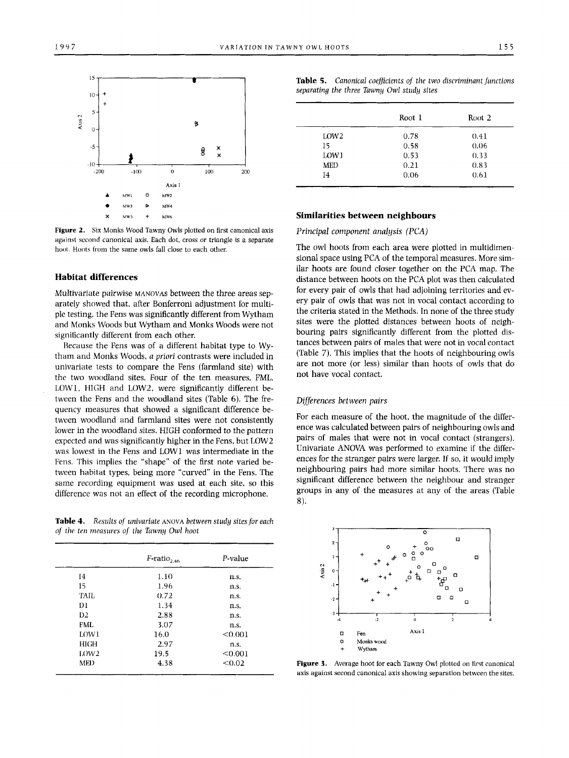

Figure 2. Six Monks Wood Tawny Owls plotted on first canonical axis against second canonical axis. Each dot, cross or triangle is a separate hoot. Hoots from the same owls fall close to each other.

#### **Habitat differences**

Multivariate pairwise MANOVAS between the three areas separately showed that, after Bonferroni adjustment for multiple testing, the Fens was significantly different from Wytham and Monks Woods but Wytham and Monks Woods were not significantly different from each other.

Because the Fens was of a different habitat type to Wytham and Monks Woods, a priori contrasts were included in univariate tests to compare the Fens (farmland site) with the two woodland sites. Four of the ten measures, FML, LOW1. HIGH and LOW2, were significantly different between the Fens and the woodland sites (Table 6). The frequency measures that showed a significant difference between woodland and farmland sites were not consistently lower in the woodland sites. HIGH conformed to the pattern expected and was significantly higher in the Fens, but LOW2 was lowest in the Fens and LOW1 was intermediate in the Fens. This implies the "shape" of the first note varied between habitat types, being more "curved" in the Fens. The samc recording equipment was used at each site, so this difference was not an effect of the recording microphone.

Table 4. Results of univariate ANOVA between study sites for each of thc *tm* measures of the Tawny Owl hoot

|                | $F\text{-ratio}_{2,46}$ | P-value | $\,1\,$                    |
|----------------|-------------------------|---------|----------------------------|
| 14             | 1.10                    | n.s.    | Axis 2<br>$\pmb{0}$        |
| 15             | 1.96                    | n.s.    | $\cdot$ 1                  |
| TAIL           | 0.72                    | n.s.    | $-2$                       |
| Dl             | 1.34                    | n.s.    |                            |
| D <sub>2</sub> | 2.88                    | n.s.    | $\cdot$ 3                  |
| FML            | 3.07                    | n.s.    |                            |
| LOW1           | 16.0                    | < 0.001 |                            |
| HIGH           | 2.97                    | n.s.    |                            |
| LOW2           | 19.5                    | < 0.001 |                            |
| <b>MED</b>     | 4.38                    | < 0.02  | Figure 3.<br>axis against: |

| <b>Table 5.</b> Canonical coefficients of the two discriminant functions |
|--------------------------------------------------------------------------|
| separating the three Tawny Owl study sites                               |

|                  | Root 1 | Root 2 |
|------------------|--------|--------|
| LOW <sub>2</sub> | 0.78   | 0.41   |
| 15               | 0.58   | 0.06   |
| LOW1             | 0.53   | 0.33   |
| <b>MED</b>       | 0.21   | 0.83   |
| I <sub>4</sub>   | 0.06   | 0.61   |

#### **Similarities between neighbours**

#### Principal component analysis (PCA)

The owl hoots from each area were plotted in multidimensional space using PCA of the temporal measures. More similar hoots are found closer together on the PCA map. The distance between hoots on the PCA plot was then calculated for every pair of owls that had adjoining territories and every pair of owls that was not in vocal contact according to the criteria stated in the Methods. In none of the three study sites were the plotted distances between hoots of neighbouring pairs significantly different from the plotted distances between pairs of males that were not in vocal contact (Table 7). This implies that the hoots of neighbouring owls are not more (or less) similar than hoots of owls that do not have vocal contact.

#### Dlflerences *bet* ween pairs

For each measure of the hoot, the magnitude of the difference was calculated between pairs of neighbouring owls and pairs of males that were not in vocal contact (strangers). Univariate ANOVA was performed to examine if the differences for the stranger pairs were larger. If so, it would imply neighbouring pairs had more similar hoots. There was no significant difference between the neighbour and stranger groups in any of the measures at any of the areas (Table 8).



Figure 3. Average hoot for each Tawny Owl plotted on first canonical axis against second canonical axis showing separation between the sites.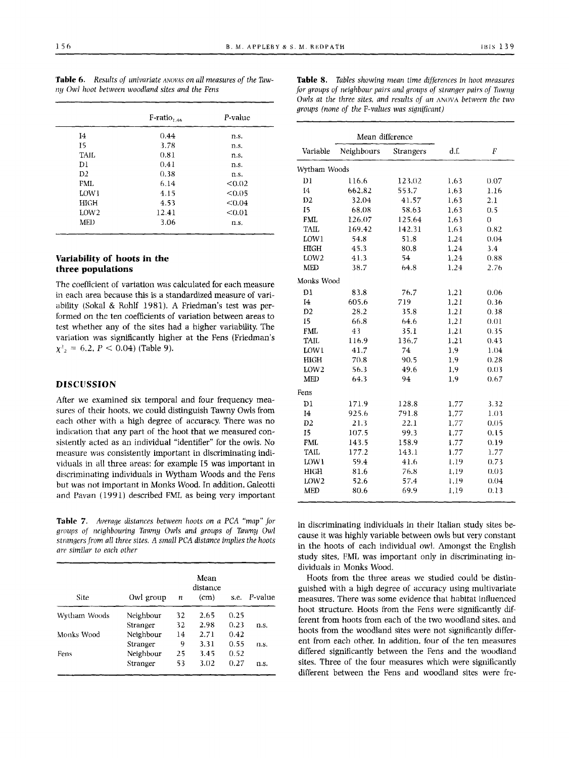|                  | $F$ -ratio <sub>1.46</sub> | P-value |
|------------------|----------------------------|---------|
| 14               | 0.44                       | n.s.    |
| 15               | 3.78                       | n.s.    |
| <b>TAIL</b>      | 0.81                       | n.s.    |
| D1               | 0.41                       | n.s.    |
| D <sub>2</sub>   | 0.38                       | n.s.    |
| FML              | 6.14                       | < 0.02  |
| LOW1             | 4.15                       | < 0.05  |
| HIGH             | 4.53                       | < 0.04  |
| LOW <sub>2</sub> | 12.41                      | < 0.01  |
| MEI)             | 3.06                       | n.s.    |

**Table 6.**  *Kesults of univariate ANOVAS on u11 measures* of *the Taw*   $ny$  Owl hoot between woodland sites and the Fens

### **Variability of hoots in the three populations**

The coefficient of variation was calculated for each measure in each area because this is a standardized measure of variability (Sokal & Rohlf 1981). A Friedman's test was performed on the ten coefficients of variation between areas to test whether any of the sites had a higher variability. The variation was significantly higher at the Fens (Friedman's  $\chi^2$ <sub>2</sub> = 6.2, *P* < 0.04) (Table 9).

### **DISCUSSION**

After we examined six temporal and four frequency measures of their hoots, we could distinguish Tawny Owls from each other with a high degree of accuracy. There was no indication that any part of the hoot that we measured consistently acted as an individual "identifier" for the owls. No measure was consistently important in discriminating individuals in **all** three areas: for example I5 was important in discriminating individuals in Wytham Woods and the Fens but was not important in Monks Wood. In addition, Galeotti and Pavan (1991) described FML as being very important

**Table** *7. Average distances between hoots on a* PCA *"map" for groups uj neighbouring Tawny Owls and groups of Tuwng Owl*  strririgers */ram all three sites.* A *small* PCA *distance implies the hoots ari' similar to each othrr* 

| Site         | Owl group | n  | Mean<br>distance<br>(cm) |      | s.e. P-value |
|--------------|-----------|----|--------------------------|------|--------------|
| Wytham Woods | Neighbour | 32 | 2.65                     | 0.25 |              |
|              | Stranger  | 32 | 2.98                     | 0.23 | n.s.         |
| Monks Wood   | Neighbour | 14 | 2.71                     | 0.42 |              |
|              | Stranger  | 9  | 3.31                     | 0.55 | n.s.         |
| Fens         | Neighbour | 25 | 3.45                     | 0.52 |              |
|              | Stranger  | 53 | 3.02                     | 0.27 | n.s.         |

| Table 8. | Tables showing mean time differences in hoot measures               |
|----------|---------------------------------------------------------------------|
|          | for groups of neighbour pairs and groups of stranger pairs of Tawny |
|          | Owls at the three sites, and results of an ANOVA between the two    |
|          | groups (none of the F-values was significant)                       |

|                  | Mean difference |                  |      |                  |
|------------------|-----------------|------------------|------|------------------|
| Variable         | Neighbours      | <b>Strangers</b> | d.f. | $\boldsymbol{F}$ |
| Wytham Woods     |                 |                  |      |                  |
| DI               | 116.6           | 123.02           | 1,63 | 0.07             |
| 14               | 662.82          | 553.7            | 1.63 | 1.16             |
| D <sub>2</sub>   | 32.04           | 41.57            | 1.63 | 2.1              |
| 15               | 68.08           | 58.63            | 1.63 | 0.5              |
| FML              | 126.07          | 125.64           | 1,63 | $\sigma$         |
| TAIL             | 169.42          | 142.31           | 1.63 | 0.82             |
| LOW1             | 54.8            | 51.8             | 1.24 | 0.04             |
| <b>HIGH</b>      | 45.3            | 80.8             | 1.24 | 3.4              |
| LOW <sub>2</sub> | 41.3            | 54               | 1.24 | 0.88             |
| <b>MED</b>       | 38.7            | 64.8             | 1.24 | 2.76             |
| Monks Wood       |                 |                  |      |                  |
| D1.              | 83.8            | 76.7             | 1,21 | 0.06             |
| I <sub>4</sub>   | 605.6           | 719              | 1.21 | 0.36             |
| D2               | 28.2            | 35.8             | 1.21 | 0.38             |
| <b>I5</b>        | 66.8            | 64.6             | 1,21 | 0.01             |
| <b>FML</b>       | 43              | 35.1             | 1,21 | 0.35             |
| <b>TAIL</b>      | 116.9           | 136.7            | 1.21 | 0.43             |
| LOW1             | 41.7            | 74               | 1.9  | 1.04             |
| HIGH             | 70.8            | 90.5             | 1.9  | 0.28             |
| LOW <sub>2</sub> | 56.3            | 49.6             | 1.9  | 0.03             |
| <b>MED</b>       | 64.3            | 94               | 1.9  | 0.67             |
| Fens             |                 |                  |      |                  |
| D <sub>1</sub>   | 171.9           | 128.8            | 1.77 | 3.32             |
| 14               | 925.6           | 791.8            | 1.77 | 1.03             |
| D <sub>2</sub>   | 21.3            | 22.1             | 1.77 | 0.05             |
| I5               | 107.5           | 99.3             | 1.77 | 0.15             |
| <b>FML</b>       | 143.5           | 158.9            | 1.77 | 0.19             |
| <b>TAIL</b>      | 177.2           | 143.1            | 1.77 | 1.77             |
| LOW1             | 59.4            | 41.6             | 1,19 | 0.73             |
| <b>HIGH</b>      | 81.6            | 76.8             | 1.19 | 0.03             |
| LOW2             | 52.6            | 57.4             | 1.19 | 0.04             |
| <b>MED</b>       | 80.6            | 69.9             | 1,19 | 0.13             |
|                  |                 |                  |      |                  |

in discriminating individuals in their Italian study sites because it was highly variable between owls but very constant in the hoots of each individual owl. Amongst the English study sites, FMT, was important only in discriminating individuals in Monks Wood.

Hoots from the three areas we studied could be distinguished with a high degree of accuracy using multivariate measures. There was some evidence that habitat influenced hoot structure. Hoots from the Fens were significantly different from hoots from each of the two woodland sites, and hoots from the woodland sites were not significantly different from each other. In addition, four of the ten measures differed significantly between the Fens and the woodland sites. Three of the four measures which were significantly different between the Fens and woodland sites were fre-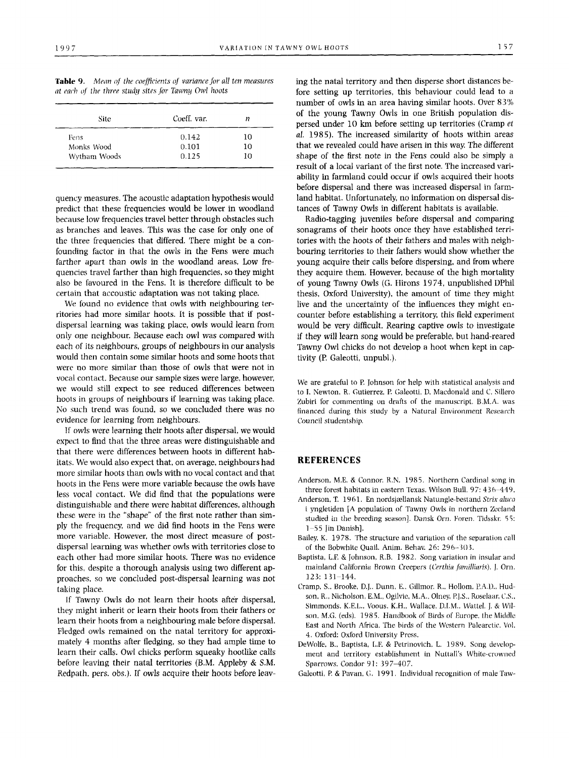| Site         | Coeff. var. | п  |
|--------------|-------------|----|
| Fens         | 0.142       | 10 |
| Monks Wood   | 0.101       | 10 |
| Wytham Woods | 0.125       | 10 |

**Table 9.** Mean of the coefficients of variance for all ten measures *(it earh* o/ the thrre *study sitps lor Tawny Owl* hoots

quency measures. The acoustic adaptation hypothesis would predict that these frequencies would be lower in woodland because low frequencies travel better through obstacles such as branches and leaves. This was the case for only one of the three frequencies that differed. There might be a confounding factor in that the owls in the Fens were much farther apart than owls in the woodland areas. Low frequencies travel farther than high frequencies, so they might also be favoured in the Fens. It is therefore difficult to be certain that accoustic adaptation was not taking place.

We found no evidence that owls with neighbouring territories had more similar hoots. It is possible that if postdispersal learning was taking place, owls would learn from only one neighbour. Because each owl was compared with each of its neighbours, groups of neighbours in our analysis would then contain some similar hoots and some hoots that were no more similar than those of owls that were not in vocal contact. Because our sample sizes were large, however, we would still expect to see reduced differences between hoots in groups of neighbours if learning was taking place. No such trend was found, so we concluded there was no evidence for learning from neighbours.

If owls were learning their hoots after dispersal, we would expect to find that the three areas were distinguishable and that there were differences between hoots in different habitats. We would also expect that, on average, neighbours had more similar hoots than owls with no vocal contact and that hoots in the Fens were more variable because the owls have less vocal contact. We did find that the populations were distinguishable and there were habitat differences, although these were in the "shape" of the first note rather than simply the frequency, and we did find hoots in the Fens were more variable. However, the most direct measure of postdispersal learning was whether owls with territories close to each other had more similar hoots. There was no evidence for this, despite a thorough analysis using two different approaches. so we concluded post-dispersal learning was not taking place.

If Tawny Owls do not learn their hoots after dispersal, they might inherit or learn their hoots from their fathers or learn their hoots from a neighbouring male before dispersal. Fledged owls remained on the natal territory for approximately 4 months after fledging, so they had ample time to learn their calls. Owl chicks perform squeaky hootlike calls before leaving their natal territories (B.M. Appleby & S.M. Redpath, pers. obs.). If owls acquire their hoots before leaving the natal territory and then disperse short distances before setting up territories, this behaviour could lead to a number of owls in an area having similar hoots. Over 83% of the young Tawny Owls in one British population dispersed under **10** km before setting up territories (Cramp *et*  al. 1985). The increased similarity of hoots within areas that we revealed could have arisen in this way The different shape of the first note in the Fens could also be simply a result of a local variant of the first note. The increased variability in farmland could occur if owls acquired their hoots before dispersal and there was increased dispersal in farmland habitat. Unfortunately, no information on dispersal distances of Tawny Owls in different habitats is available.

Radio-tagging juveniles before dispersal and comparing sonagrams of their hoots once they have established territories with the hoots of their fathers and males with neighbouring territories to their fathers would show whether the young acquire their calls before dispersing, and from where they acquire them. However, because of the high mortality of young Tawny Owls (G. Hirons 1974, unpublished DPhil thesis, Oxford University), the amount of time they might live and the uncertainty of the influences they might encounter before establishing a territory, this field experiment would be very difficult. Rearing captive owls to investigate if they will learn song would be preferable, but hand-reared Tawny Owl chicks do not develop a hoot when kept in captivity (P. Galeotti, unpubl.).

We are grateful to P. Johnson for help with statistical analysis and to **1.** Newton, R. Gutierrez. **F!** Galeotti. D. Macdonald and C. Sillero Zubiri for commenting on drafts of the manuscript. **B.M.A.** was financed during this study by a Natural Environment Research Council studentship.

#### **REFERENCES**

- Anderson, M.E. & Connor. R.N. 1985. Northern Cardinal song in three forest habitats in eastern Texas. Wilson Bull. 97: 436-449.
- Anderson. T. 1961. En nordsjællansk Natungle-bestand Strix aluco i yngletiden **[A** population of Tawny Owls in northern Zccland studied **in** the breeding season]. Dansk Orn. Foren. Tidsskr. 55: 1-55 [in Danish].
- Bailey, K. 1978. 'The structure and variation **of** the separation call of the Bobwhite Quail. Anim. Behav. 26: 296-303.
- Baptista, **L.E** & Johnson, R.B. 1982. Song variation in insular and mainland California Brown Creepers *(Certhia familliaris)*. *J. Orn.* 123: 131-144.
- Cramp, S., Brooke, D.J.. Dunn, E., Gillmor, R., Hollom, P.A.D., Hudson. R.. Nicholson, E.M., Ogilvie, M.A.. Olney, P.1.S.. Roselaar, C.S.. Simrnonds. K.E.L., Voous. K.H., Wallace, D.I.M.. Wattel. J. & Wilson. M.G. (eds). 1985. Handbook of Birds of Europe. the Middle East and North Africa. The birds of the Western Palearctic. Vol. 4. Oxford: Oxford IJniversity Press.
- DeWolfe, B., Baptista, L.F. & Petrinovich. L. 1989. Song development and territory establishment in Nuttali's White-crowned Sparrows. Condor 91: 397-407.
- Galeotti, P. & Pavari. **G.** 1991. Individual recognition of male Taw-